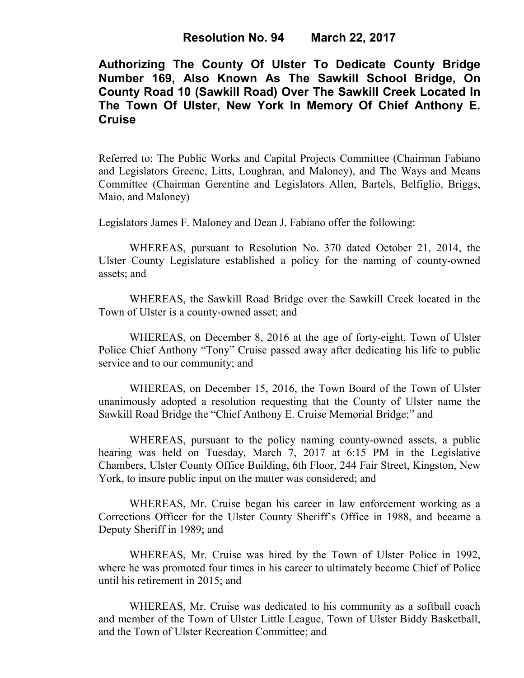**Authorizing The County Of Ulster To Dedicate County Bridge Number 169, Also Known As The Sawkill School Bridge, On County Road 10 (Sawkill Road) Over The Sawkill Creek Located In The Town Of Ulster, New York In Memory Of Chief Anthony E. Cruise** 

Referred to: The Public Works and Capital Projects Committee (Chairman Fabiano and Legislators Greene, Litts, Loughran, and Maloney), and The Ways and Means Committee (Chairman Gerentine and Legislators Allen, Bartels, Belfiglio, Briggs, Maio, and Maloney)

Legislators James F. Maloney and Dean J. Fabiano offer the following:

WHEREAS, pursuant to Resolution No. 370 dated October 21, 2014, the Ulster County Legislature established a policy for the naming of county-owned assets; and

WHEREAS, the Sawkill Road Bridge over the Sawkill Creek located in the Town of Ulster is a county-owned asset; and

WHEREAS, on December 8, 2016 at the age of forty-eight, Town of Ulster Police Chief Anthony "Tony" Cruise passed away after dedicating his life to public service and to our community; and

WHEREAS, on December 15, 2016, the Town Board of the Town of Ulster unanimously adopted a resolution requesting that the County of Ulster name the Sawkill Road Bridge the "Chief Anthony E. Cruise Memorial Bridge;" and

WHEREAS, pursuant to the policy naming county-owned assets, a public hearing was held on Tuesday, March 7, 2017 at 6:15 PM in the Legislative Chambers, Ulster County Office Building, 6th Floor, 244 Fair Street, Kingston, New York, to insure public input on the matter was considered; and

WHEREAS, Mr. Cruise began his career in law enforcement working as a Corrections Officer for the Ulster County Sheriff's Office in 1988, and became a Deputy Sheriff in 1989; and

WHEREAS, Mr. Cruise was hired by the Town of Ulster Police in 1992, where he was promoted four times in his career to ultimately become Chief of Police until his retirement in 2015; and

WHEREAS, Mr. Cruise was dedicated to his community as a softball coach and member of the Town of Ulster Little League, Town of Ulster Biddy Basketball, and the Town of Ulster Recreation Committee; and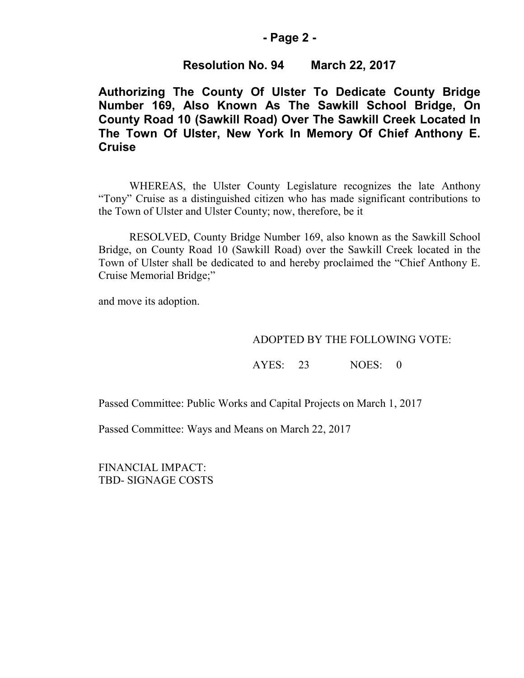## **- Page 2 -**

# **Resolution No. 94 March 22, 2017**

**Authorizing The County Of Ulster To Dedicate County Bridge Number 169, Also Known As The Sawkill School Bridge, On County Road 10 (Sawkill Road) Over The Sawkill Creek Located In The Town Of Ulster, New York In Memory Of Chief Anthony E. Cruise** 

WHEREAS, the Ulster County Legislature recognizes the late Anthony "Tony" Cruise as a distinguished citizen who has made significant contributions to the Town of Ulster and Ulster County; now, therefore, be it

RESOLVED, County Bridge Number 169, also known as the Sawkill School Bridge, on County Road 10 (Sawkill Road) over the Sawkill Creek located in the Town of Ulster shall be dedicated to and hereby proclaimed the "Chief Anthony E. Cruise Memorial Bridge;"

and move its adoption.

## ADOPTED BY THE FOLLOWING VOTE:

AYES: 23 NOES: 0

Passed Committee: Public Works and Capital Projects on March 1, 2017

Passed Committee: Ways and Means on March 22, 2017

FINANCIAL IMPACT: TBD- SIGNAGE COSTS